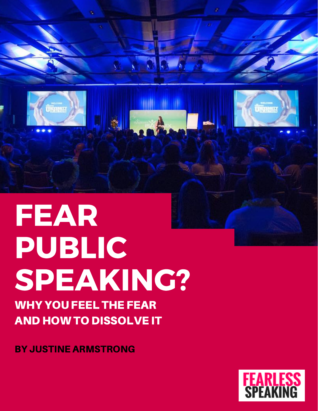

**TANANA** 

WHY YOU FEEL THE FEAR AND HOW TO DISSOLVE IT

BY JUSTINE ARMSTRONG



û marena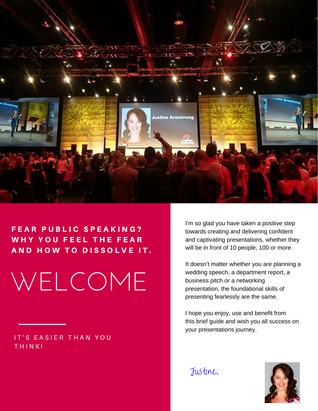

# FEAR PUBLIC SPEAKING? WHY YOU FEEL THE FEAR A N D H O W T O D ISSOLVE IT.

WELCOME

IT'S EASIER THAN YOU THINK!

I'm so glad you have taken a positive step towards creating and delivering confident and captivating presentations, whether they will be in front of 10 people, 100 or more.

It doesn't matter whether you are planning a wedding speech, a department report, a business pitch or a networking presentation, the foundational skills of presenting fearlessly are the same.

I hope you enjoy, use and benefit from this brief guide and wish you all success on your presentations journey.

Justine.

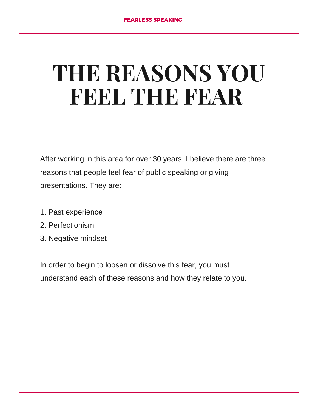# **THE REASONS YOU FEEL THE FEAR**

After working in this area for over 30 years, I believe there are three reasons that people feel fear of public speaking or giving presentations. They are:

- 1. Past experience
- 2. Perfectionism
- 3. Negative mindset

In order to begin to loosen or dissolve this fear, you must understand each of these reasons and how they relate to you.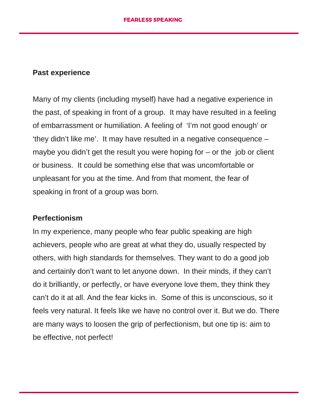#### **Past experience**

Many of my clients (including myself) have had a negative experience in the past, of speaking in front of a group. It may have resulted in a feeling of embarrassment or humiliation. A feeling of 'I'm not good enough' or 'they didn't like me'. It may have resulted in a negative consequence – maybe you didn't get the result you were hoping for – or the job or client or business. It could be something else that was uncomfortable or unpleasant for you at the time. And from that moment, the fear of speaking in front of a group was born.

#### **Perfectionism**

In my experience, many people who fear public speaking are high achievers, people who are great at what they do, usually respected by others, with high standards for themselves. They want to do a good job and certainly don't want to let anyone down. In their minds, if they can't do it brilliantly, or perfectly, or have everyone love them, they think they can't do it at all. And the fear kicks in. Some of this is unconscious, so it feels very natural. It feels like we have no control over it. But we do. There are many ways to loosen the grip of perfectionism, but one tip is: aim to be effective, not perfect!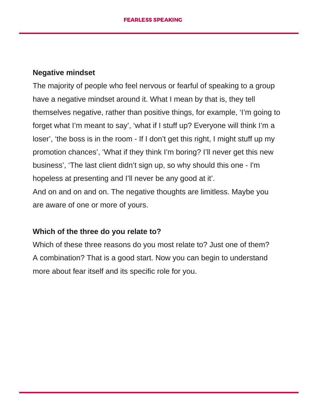### **Negative mindset**

The majority of people who feel nervous or fearful of speaking to a group have a negative mindset around it. What I mean by that is, they tell themselves negative, rather than positive things, for example, 'I'm going to forget what I'm meant to say', 'what if I stuff up? Everyone will think I'm a loser', 'the boss is in the room - If I don't get this right, I might stuff up my promotion chances', 'What if they think I'm boring? I'll never get this new business', 'The last client didn't sign up, so why should this one - I'm hopeless at presenting and I'll never be any good at it'. And on and on and on. The negative thoughts are limitless. Maybe you

are aware of one or more of yours.

## **Which of the three do you relate to?**

Which of these three reasons do you most relate to? Just one of them? A combination? That is a good start. Now you can begin to understand more about fear itself and its specific role for you.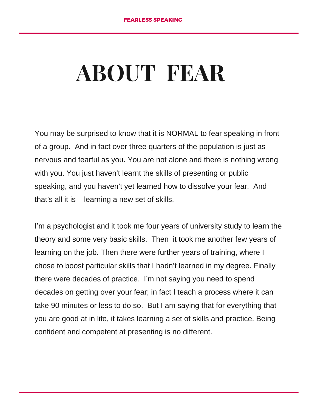# **ABOUT FEAR**

You may be surprised to know that it is NORMAL to fear speaking in front of a group. And in fact over three quarters of the population is just as nervous and fearful as you. You are not alone and there is nothing wrong with you. You just haven't learnt the skills of presenting or public speaking, and you haven't yet learned how to dissolve your fear. And that's all it is – learning a new set of skills.

I'm a psychologist and it took me four years of university study to learn the theory and some very basic skills. Then it took me another few years of learning on the job. Then there were further years of training, where I chose to boost particular skills that I hadn't learned in my degree. Finally there were decades of practice. I'm not saying you need to spend decades on getting over your fear; in fact I teach a process where it can take 90 minutes or less to do so. But I am saying that for everything that you are good at in life, it takes learning a set of skills and practice. Being confident and competent at presenting is no different.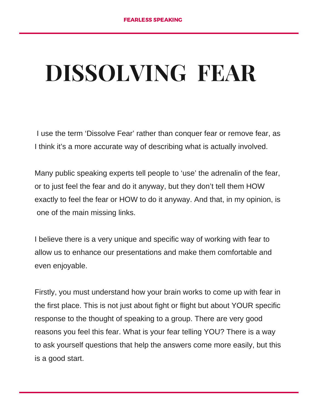# **DISSOLVING FEAR**

I use the term 'Dissolve Fear' rather than conquer fear or remove fear, as I think it's a more accurate way of describing what is actually involved.

Many public speaking experts tell people to 'use' the adrenalin of the fear, or to just feel the fear and do it anyway, but they don't tell them HOW exactly to feel the fear or HOW to do it anyway. And that, in my opinion, is one of the main missing links.

I believe there is a very unique and specific way of working with fear to allow us to enhance our presentations and make them comfortable and even enjoyable.

Firstly, you must understand how your brain works to come up with fear in the first place. This is not just about fight or flight but about YOUR specific response to the thought of speaking to a group. There are very good reasons you feel this fear. What is your fear telling YOU? There is a way to ask yourself questions that help the answers come more easily, but this is a good start.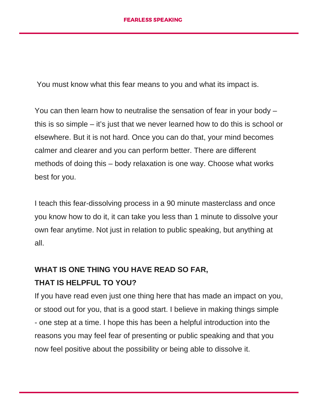You must know what this fear means to you and what its impact is.

You can then learn how to neutralise the sensation of fear in your body – this is so simple – it's just that we never learned how to do this is school or elsewhere. But it is not hard. Once you can do that, your mind becomes calmer and clearer and you can perform better. There are different methods of doing this – body relaxation is one way. Choose what works best for you.

I teach this fear-dissolving process in a 90 minute masterclass and once you know how to do it, it can take you less than 1 minute to dissolve your own fear anytime. Not just in relation to public speaking, but anything at all.

## **WHAT IS ONE THING YOU HAVE READ SO FAR,**

## **THAT IS HELPFUL TO YOU?**

If you have read even just one thing here that has made an impact on you, or stood out for you, that is a good start. I believe in making things simple - one step at a time. I hope this has been a helpful introduction into the reasons you may feel fear of presenting or public speaking and that you now feel positive about the possibility or being able to dissolve it.